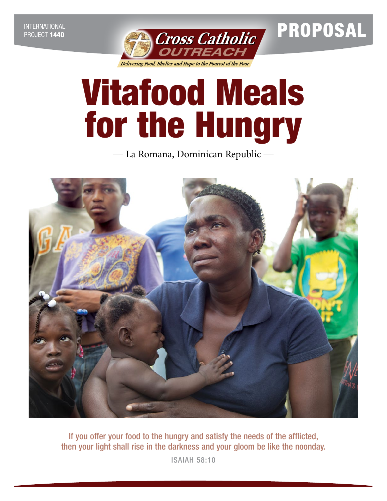

Vitafood Meals for the Hungry

— La Romana, Dominican Republic —



If you offer your food to the hungry and satisfy the needs of the afflicted, then your light shall rise in the darkness and your gloom be like the noonday.

ISAIAH 58:10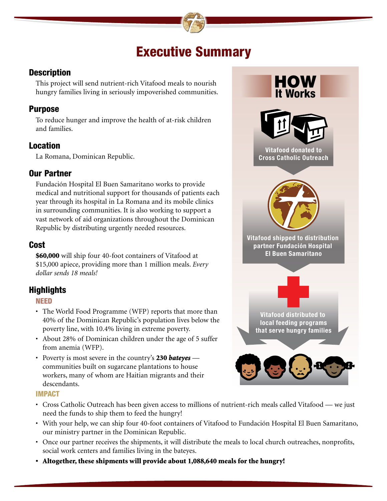# Executive Summary

### **Description**

This project will send nutrient-rich Vitafood meals to nourish hungry families living in seriously impoverished communities.

### Purpose

To reduce hunger and improve the health of at-risk children and families.

# **Location**

La Romana, Dominican Republic.

# Our Partner

Fundación Hospital El Buen Samaritano works to provide medical and nutritional support for thousands of patients each year through its hospital in La Romana and its mobile clinics in surrounding communities. It is also working to support a vast network of aid organizations throughout the Dominican Republic by distributing urgently needed resources.

# Cost

\$60,000 will ship four 40-foot containers of Vitafood at \$15,000 apiece, providing more than 1 million meals. *Every dollar sends 18 meals!* 

# **Highlights**

NEED

- The World Food Programme (WFP) reports that more than 40% of the Dominican Republic's population lives below the poverty line, with 10.4% living in extreme poverty.
- About 28% of Dominican children under the age of 5 suffer from anemia (WFP).
- Poverty is most severe in the country's 230 *bateyes* communities built on sugarcane plantations to house workers, many of whom are Haitian migrants and their descendants.

### IMPACT

- Cross Catholic Outreach has been given access to millions of nutrient-rich meals called Vitafood we just need the funds to ship them to feed the hungry!
- With your help, we can ship four 40-foot containers of Vitafood to Fundación Hospital El Buen Samaritano, our ministry partner in the Dominican Republic.
- Once our partner receives the shipments, it will distribute the meals to local church outreaches, nonprofits, social work centers and families living in the bateyes.
- Altogether, these shipments will provide about 1,088,640 meals for the hungry!

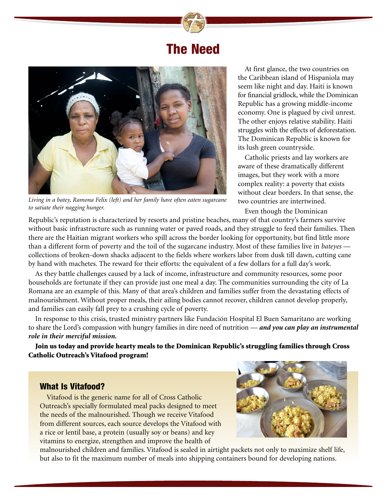# The Need



*Living in a batey, Ramona Felix (left) and her family have often eaten sugarcane to satiate their nagging hunger.*

At first glance, the two countries on the Caribbean island of Hispaniola may seem like night and day. Haiti is known for financial gridlock, while the Dominican Republic has a growing middle-income economy. One is plagued by civil unrest. The other enjoys relative stability. Haiti struggles with the effects of deforestation. The Dominican Republic is known for its lush green countryside.

Catholic priests and lay workers are aware of these dramatically different images, but they work with a more complex reality: a poverty that exists without clear borders. In that sense, the two countries are intertwined.

Even though the Dominican

Republic's reputation is characterized by resorts and pristine beaches, many of that country's farmers survive without basic infrastructure such as running water or paved roads, and they struggle to feed their families. Then there are the Haitian migrant workers who spill across the border looking for opportunity, but find little more than a different form of poverty and the toil of the sugarcane industry. Most of these families live in *bateyes* collections of broken-down shacks adjacent to the fields where workers labor from dusk till dawn, cutting cane by hand with machetes. The reward for their efforts: the equivalent of a few dollars for a full day's work.

As they battle challenges caused by a lack of income, infrastructure and community resources, some poor households are fortunate if they can provide just one meal a day. The communities surrounding the city of La Romana are an example of this. Many of that area's children and families suffer from the devastating effects of malnourishment. Without proper meals, their ailing bodies cannot recover, children cannot develop properly, and families can easily fall prey to a crushing cycle of poverty.

In response to this crisis, trusted ministry partners like Fundación Hospital El Buen Samaritano are working to share the Lord's compassion with hungry families in dire need of nutrition — *and you can play an instrumental role in their merciful mission.* 

Join us today and provide hearty meals to the Dominican Republic's struggling families through Cross Catholic Outreach's Vitafood program!

#### What Is Vitafood?

Vitafood is the generic name for all of Cross Catholic Outreach's specially formulated meal packs designed to meet the needs of the malnourished. Though we receive Vitafood from different sources, each source develops the Vitafood with a rice or lentil base, a protein (usually soy or beans) and key vitamins to energize, strengthen and improve the health of



malnourished children and families. Vitafood is sealed in airtight packets not only to maximize shelf life, but also to fit the maximum number of meals into shipping containers bound for developing nations.